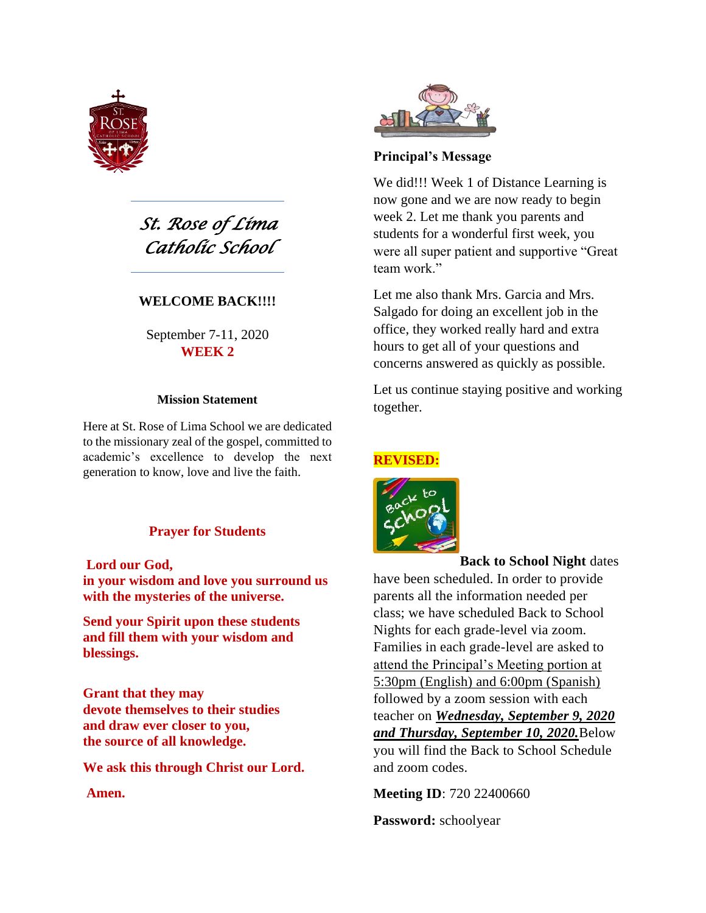

*St. Rose of Lima Catholic School* 

## **WELCOME BACK!!!!**

September 7-11, 2020 **WEEK 2**

#### **Mission Statement**

Here at St. Rose of Lima School we are dedicated to the missionary zeal of the gospel, committed to academic's excellence to develop the next generation to know, love and live the faith.

#### **Prayer for Students**

#### **Lord our God,**

**in your wisdom and love you surround us with the mysteries of the universe.**

**Send your Spirit upon these students and fill them with your wisdom and blessings.**

**Grant that they may devote themselves to their studies and draw ever closer to you, the source of all knowledge.**

**We ask this through Christ our Lord.**

#### **Amen.**



#### **Principal's Message**

We did!!! Week 1 of Distance Learning is now gone and we are now ready to begin week 2. Let me thank you parents and students for a wonderful first week, you were all super patient and supportive "Great team work."

Let me also thank Mrs. Garcia and Mrs. Salgado for doing an excellent job in the office, they worked really hard and extra hours to get all of your questions and concerns answered as quickly as possible.

Let us continue staying positive and working together.

#### **REVISED:**



**Back to School Night** dates

have been scheduled. In order to provide parents all the information needed per class; we have scheduled Back to School Nights for each grade-level via zoom. Families in each grade-level are asked to attend the Principal's Meeting portion at 5:30pm (English) and 6:00pm (Spanish) followed by a zoom session with each teacher on *Wednesday, September 9, 2020 and Thursday, September 10, 2020.*Below you will find the Back to School Schedule and zoom codes.

**Meeting ID**: 720 22400660

**Password:** schoolyear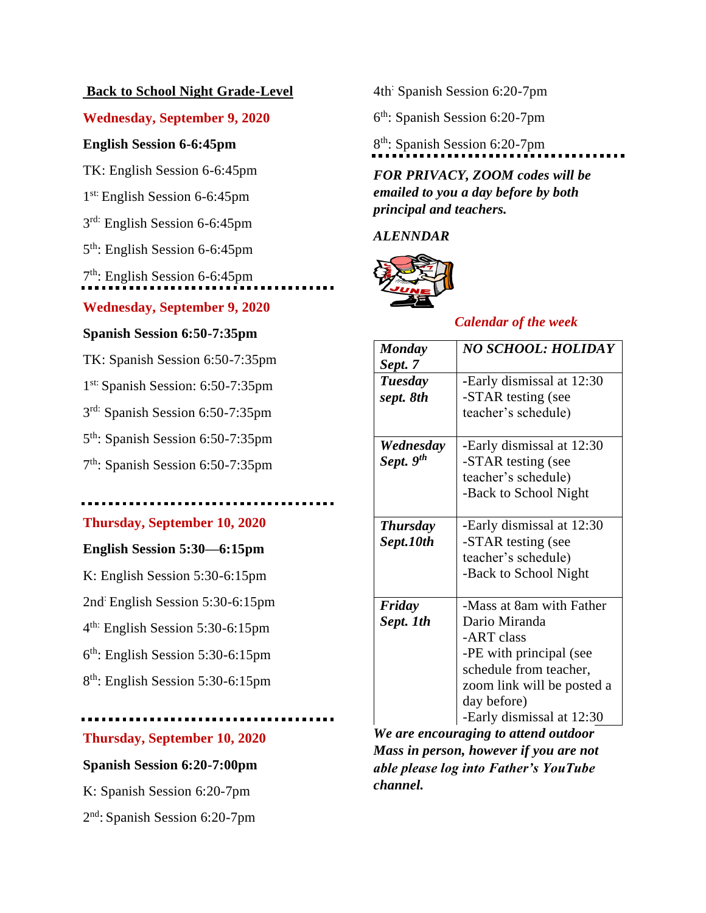## **Back to School Night Grade-Level**

## **Wednesday, September 9, 2020**

## **English Session 6-6:45pm**

TK: English Session 6-6:45pm

1st: English Session 6-6:45pm

3rd: English Session 6-6:45pm

5 th: English Session 6-6:45pm

7 th: English Session 6-6:45pm

# **Wednesday, September 9, 2020**

## **Spanish Session 6:50-7:35pm**

TK: Spanish Session 6:50-7:35pm

1<sup>st:</sup> Spanish Session: 6:50-7:35pm

3 rd: Spanish Session 6:50-7:35pm

5 th: Spanish Session 6:50-7:35pm

7 th: Spanish Session 6:50-7:35pm

# **Thursday, September 10, 2020**

# **English Session 5:30—6:15pm**

K: English Session 5:30-6:15pm

2nd: English Session 5:30-6:15pm

4 th: English Session 5:30-6:15pm

6 th: English Session 5:30-6:15pm

8 th: English Session 5:30-6:15pm

# **Thursday, September 10, 2020**

# **Spanish Session 6:20-7:00pm**

K: Spanish Session 6:20-7pm 2 nd: Spanish Session 6:20-7pm 4th: Spanish Session 6:20-7pm

6 th: Spanish Session 6:20-7pm

8<sup>th</sup>: Spanish Session 6:20-7pm

*FOR PRIVACY, ZOOM codes will be emailed to you a day before by both principal and teachers.*

*ALENNDAR*



# *Calendar of the week*

| <b>Monday</b>         | <b>NO SCHOOL: HOLIDAY</b>  |
|-----------------------|----------------------------|
| Sept. 7               |                            |
| Tuesday               | -Early dismissal at 12:30  |
| sept. 8th             | -STAR testing (see         |
|                       | teacher's schedule)        |
| Wednesday             | -Early dismissal at 12:30  |
| Sept. 9 <sup>th</sup> | -STAR testing (see         |
|                       | teacher's schedule)        |
|                       | -Back to School Night      |
|                       |                            |
| <b>Thursday</b>       | -Early dismissal at 12:30  |
| Sept.10th             | -STAR testing (see         |
|                       | teacher's schedule)        |
|                       | -Back to School Night      |
|                       |                            |
| Friday                | -Mass at 8am with Father   |
| Sept. 1th             | Dario Miranda              |
|                       | -ART class                 |
|                       | -PE with principal (see    |
|                       | schedule from teacher,     |
|                       | zoom link will be posted a |
|                       | day before)                |
|                       | -Early dismissal at 12:30  |

*We are encouraging to attend outdoor Mass in person, however if you are not able please log into Father's YouTube channel.*